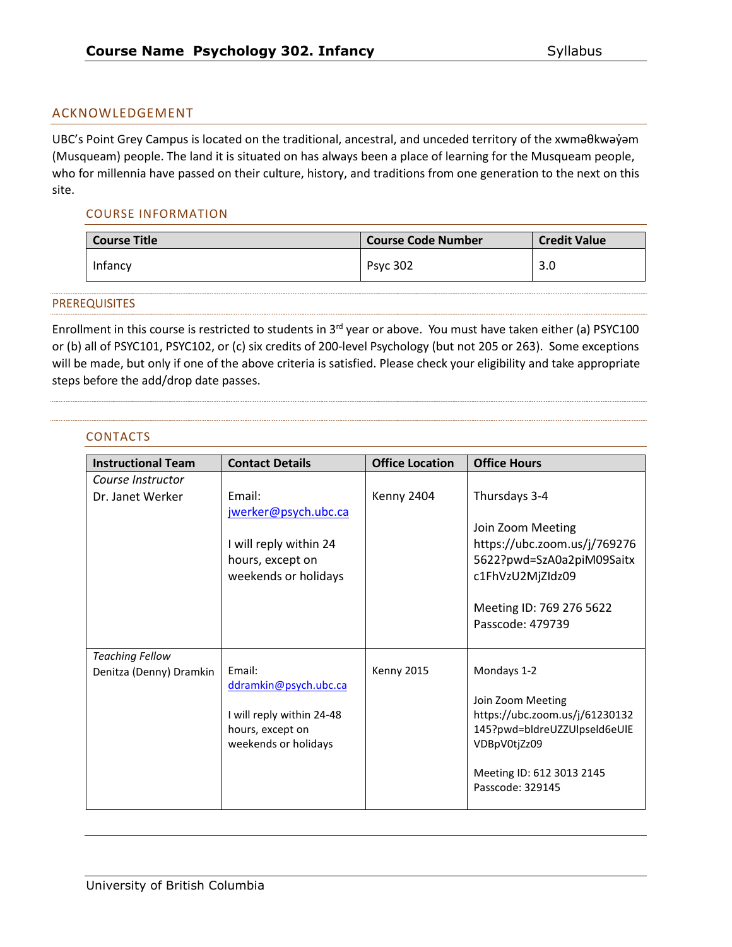### ACKNOWLEDGEMENT

UBC's Point Grey Campus is located on the traditional, ancestral, and unceded territory of the xwmaθkwayam (Musqueam) people. The land it is situated on has always been a place of learning for the Musqueam people, who for millennia have passed on their culture, history, and traditions from one generation to the next on this site.

#### COURSE INFORMATION

| <b>Course Title</b> | <b>Course Code Number</b> | <b>Credit Value</b> |
|---------------------|---------------------------|---------------------|
| Infancy             | <b>Psyc 302</b>           | 3.0                 |

#### PREREQUISITES

Enrollment in this course is restricted to students in  $3^{rd}$  year or above. You must have taken either (a) PSYC100 or (b) all of PSYC101, PSYC102, or (c) six credits of 200-level Psychology (but not 205 or 263). Some exceptions will be made, but only if one of the above criteria is satisfied. Please check your eligibility and take appropriate steps before the add/drop date passes.

#### CONTACTS

| <b>Instructional Team</b> | <b>Contact Details</b>                   | <b>Office Location</b> | <b>Office Hours</b>                          |
|---------------------------|------------------------------------------|------------------------|----------------------------------------------|
| Course Instructor         |                                          |                        |                                              |
| Dr. Janet Werker          | Email:                                   | Kenny 2404             | Thursdays 3-4                                |
|                           | jwerker@psych.ubc.ca                     |                        |                                              |
|                           |                                          |                        | Join Zoom Meeting                            |
|                           | I will reply within 24                   |                        | https://ubc.zoom.us/j/769276                 |
|                           | hours, except on                         |                        | 5622?pwd=SzA0a2piM09Saitx                    |
|                           | weekends or holidays                     |                        | c1FhVzU2MjZIdz09                             |
|                           |                                          |                        |                                              |
|                           |                                          |                        | Meeting ID: 769 276 5622<br>Passcode: 479739 |
|                           |                                          |                        |                                              |
| <b>Teaching Fellow</b>    |                                          |                        |                                              |
| Denitza (Denny) Dramkin   | Email:                                   | Kenny 2015             | Mondays 1-2                                  |
|                           | ddramkin@psych.ubc.ca                    |                        |                                              |
|                           |                                          |                        | Join Zoom Meeting                            |
|                           | I will reply within 24-48                |                        | https://ubc.zoom.us/j/61230132               |
|                           | hours, except on<br>weekends or holidays |                        | 145?pwd=bldreUZZUlpseld6eUlE<br>VDBpV0tjZz09 |
|                           |                                          |                        |                                              |
|                           |                                          |                        | Meeting ID: 612 3013 2145                    |
|                           |                                          |                        | Passcode: 329145                             |
|                           |                                          |                        |                                              |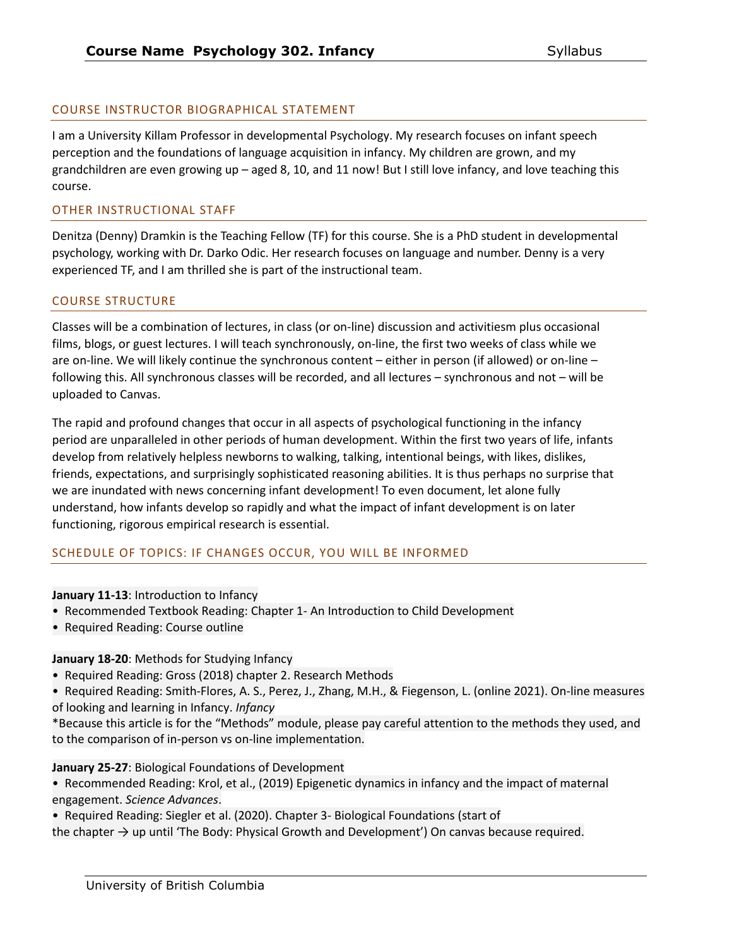# COURSE INSTRUCTOR BIOGRAPHICAL STATEMENT

I am a University Killam Professor in developmental Psychology. My research focuses on infant speech perception and the foundations of language acquisition in infancy. My children are grown, and my grandchildren are even growing up – aged 8, 10, and 11 now! But I still love infancy, and love teaching this course.

#### OTHER INSTRUCTIONAL STAFF

Denitza (Denny) Dramkin is the Teaching Fellow (TF) for this course. She is a PhD student in developmental psychology, working with Dr. Darko Odic. Her research focuses on language and number. Denny is a very experienced TF, and I am thrilled she is part of the instructional team.

### COURSE STRUCTURE

Classes will be a combination of lectures, in class (or on-line) discussion and activitiesm plus occasional films, blogs, or guest lectures. I will teach synchronously, on-line, the first two weeks of class while we are on-line. We will likely continue the synchronous content – either in person (if allowed) or on-line – following this. All synchronous classes will be recorded, and all lectures – synchronous and not – will be uploaded to Canvas.

The rapid and profound changes that occur in all aspects of psychological functioning in the infancy period are unparalleled in other periods of human development. Within the first two years of life, infants develop from relatively helpless newborns to walking, talking, intentional beings, with likes, dislikes, friends, expectations, and surprisingly sophisticated reasoning abilities. It is thus perhaps no surprise that we are inundated with news concerning infant development! To even document, let alone fully understand, how infants develop so rapidly and what the impact of infant development is on later functioning, rigorous empirical research is essential.

### SCHEDULE OF TOPICS: IF CHANGES OCCUR, YOU WILL BE INFORMED

#### **January 11-13**: Introduction to Infancy

- Recommended Textbook Reading: Chapter 1- An Introduction to Child Development
- Required Reading: Course outline

### **January 18-20**: Methods for Studying Infancy

- Required Reading: Gross (2018) chapter 2. Research Methods
- Required Reading: Smith-Flores, A. S., Perez, J., Zhang, M.H., & Fiegenson, L. (online 2021). On-line measures of looking and learning in Infancy. *Infancy*
- \*Because this article is for the "Methods" module, please pay careful attention to the methods they used, and to the comparison of in-person vs on-line implementation.

#### **January 25-27**: Biological Foundations of Development

• Recommended Reading: Krol, et al., (2019) Epigenetic dynamics in infancy and the impact of maternal engagement. *Science Advances*.

• Required Reading: Siegler et al. (2020). Chapter 3- Biological Foundations (start of

the chapter  $\rightarrow$  up until 'The Body: Physical Growth and Development') On canvas because required.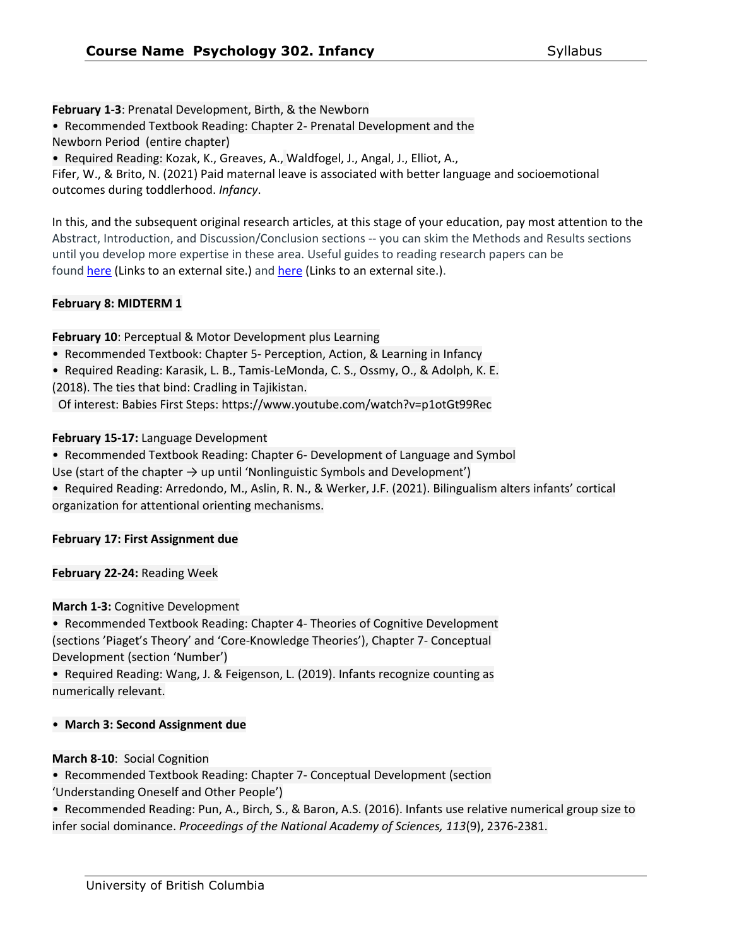**February 1-3**: Prenatal Development, Birth, & the Newborn

• Recommended Textbook Reading: Chapter 2- Prenatal Development and the

Newborn Period (entire chapter)

• Required Reading: Kozak, K., Greaves, A., Waldfogel, J., Angal, J., Elliot, A.,

Fifer, W., & Brito, N. (2021) Paid maternal leave is associated with better language and socioemotional outcomes during toddlerhood. *Infancy*.

In this, and the subsequent original research articles, at this stage of your education, pay most attention to the Abstract, Introduction, and Discussion/Conclusion sections -- you can skim the Methods and Results sections until you develop more expertise in these area. Useful guides to reading research papers can be found here (Links to an [external](https://www.dropbox.com/s/li1drgf92175cxu/HowToSkim.pdf?dl=0) site.) and here (Links to an [external](http://www.raulpacheco.org/2017/01/finding-the-most-relevant-information-in-a-paper-when-reading-a-three-step-method/) site.).

# **February 8: MIDTERM 1**

**February 10**: Perceptual & Motor Development plus Learning

• Recommended Textbook: Chapter 5- Perception, Action, & Learning in Infancy

• Required Reading: Karasik, L. B., Tamis-LeMonda, C. S., Ossmy, O., & Adolph, K. E.

(2018). The ties that bind: Cradling in Tajikistan.

Of interest: Babies First Steps: https://www.youtube.com/watch?v=p1otGt99Rec

# **February 15-17:** Language Development

• Recommended Textbook Reading: Chapter 6- Development of Language and Symbol

Use (start of the chapter  $\rightarrow$  up until 'Nonlinguistic Symbols and Development')

• Required Reading: Arredondo, M., Aslin, R. N., & Werker, J.F. (2021). Bilingualism alters infants' cortical organization for attentional orienting mechanisms.

### **February 17: First Assignment due**

**February 22-24:** Reading Week

**March 1-3:** Cognitive Development

• Recommended Textbook Reading: Chapter 4- Theories of Cognitive Development (sections 'Piaget's Theory' and 'Core-Knowledge Theories'), Chapter 7- Conceptual Development (section 'Number')

• Required Reading: Wang, J. & Feigenson, L. (2019). Infants recognize counting as numerically relevant.

### • **March 3: Second Assignment due**

# **March 8-10**: Social Cognition

• Recommended Textbook Reading: Chapter 7- Conceptual Development (section

'Understanding Oneself and Other People')

• Recommended Reading: Pun, A., Birch, S., & Baron, A.S. (2016). Infants use relative numerical group size to infer social dominance. *Proceedings of the National Academy of Sciences, 113*(9), 2376-2381.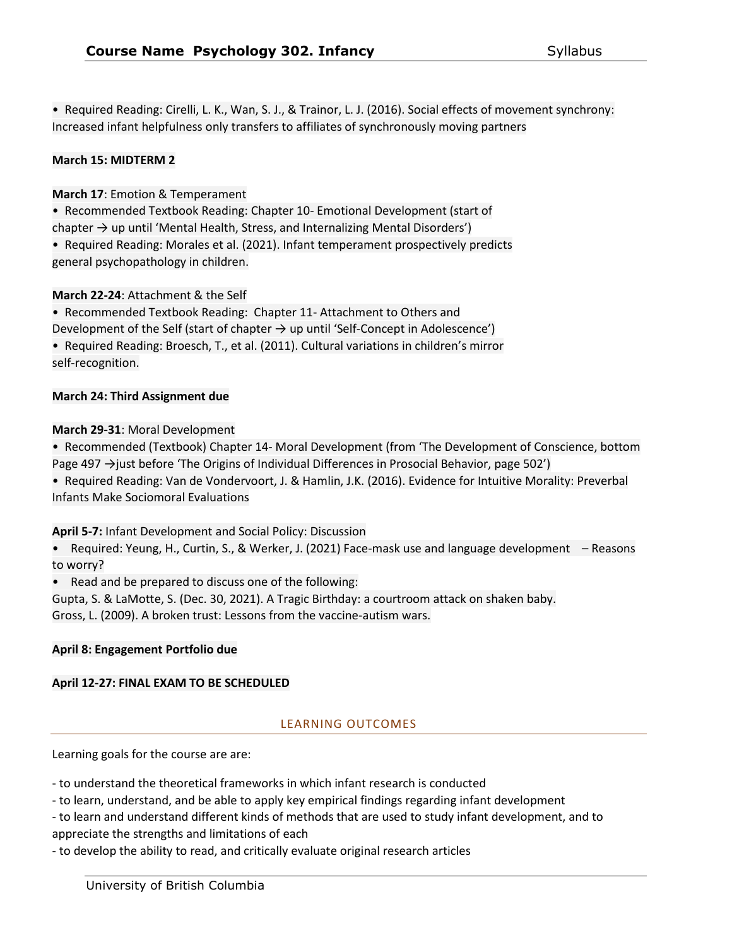• Required Reading: Cirelli, L. K., Wan, S. J., & Trainor, L. J. (2016). Social effects of movement synchrony: Increased infant helpfulness only transfers to affiliates of synchronously moving partners

#### **March 15: MIDTERM 2**

#### **March 17**: Emotion & Temperament

• Recommended Textbook Reading: Chapter 10- Emotional Development (start of chapter  $\rightarrow$  up until 'Mental Health, Stress, and Internalizing Mental Disorders')

• Required Reading: Morales et al. (2021). Infant temperament prospectively predicts general psychopathology in children.

#### **March 22-24**: Attachment & the Self

• Recommended Textbook Reading: Chapter 11- Attachment to Others and

Development of the Self (start of chapter  $\rightarrow$  up until 'Self-Concept in Adolescence')

• Required Reading: Broesch, T., et al. (2011). Cultural variations in children's mirror self-recognition.

#### **March 24: Third Assignment due**

### **March 29-31**: Moral Development

• Recommended (Textbook) Chapter 14- Moral Development (from 'The Development of Conscience, bottom Page 497 →just before 'The Origins of Individual Differences in Prosocial Behavior, page 502')

• Required Reading: Van de Vondervoort, J. & Hamlin, J.K. (2016). Evidence for Intuitive Morality: Preverbal Infants Make Sociomoral Evaluations

#### **April 5-7:** Infant Development and Social Policy: Discussion

• Required: Yeung, H., Curtin, S., & Werker, J. (2021) Face-mask use and language development – Reasons to worry?

• Read and be prepared to discuss one of the following:

Gupta, S. & LaMotte, S. (Dec. 30, 2021). A Tragic Birthday: a courtroom attack on shaken baby. Gross, L. (2009). A broken trust: Lessons from the vaccine-autism wars.

# **April 8: Engagement Portfolio due**

### **April 12-27: FINAL EXAM TO BE SCHEDULED**

### LEARNING OUTCOMES

Learning goals for the course are are:

- to understand the theoretical frameworks in which infant research is conducted
- to learn, understand, and be able to apply key empirical findings regarding infant development
- to learn and understand different kinds of methods that are used to study infant development, and to appreciate the strengths and limitations of each

- to develop the ability to read, and critically evaluate original research articles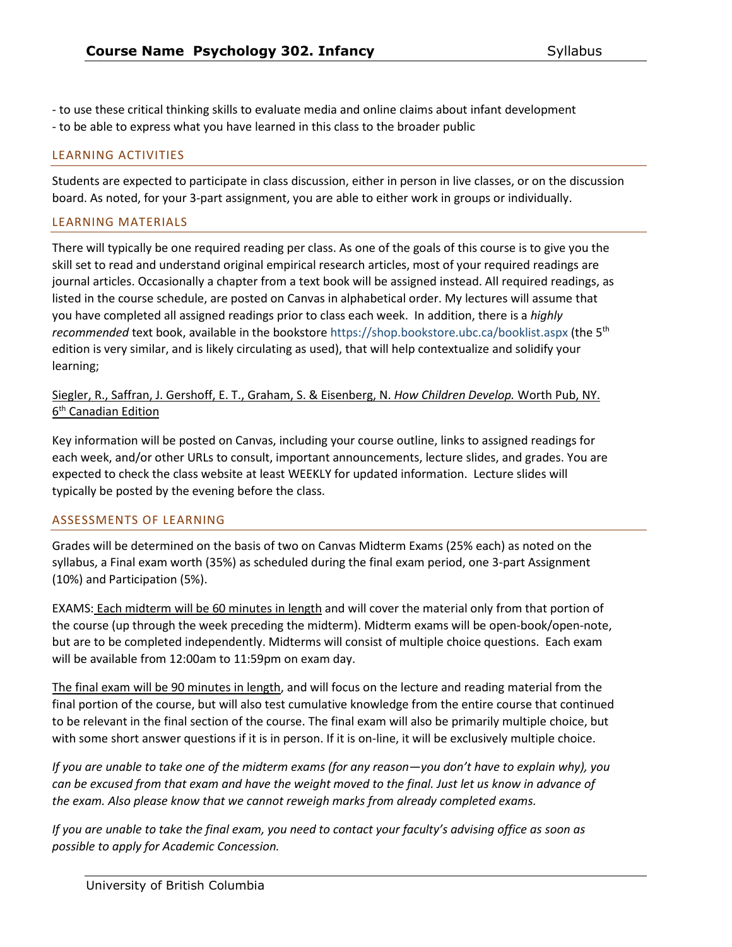- to use these critical thinking skills to evaluate media and online claims about infant development - to be able to express what you have learned in this class to the broader public

#### LEARNING ACTIVITIES

Students are expected to participate in class discussion, either in person in live classes, or on the discussion board. As noted, for your 3-part assignment, you are able to either work in groups or individually.

#### LEARNING MATERIALS

There will typically be one required reading per class. As one of the goals of this course is to give you the skill set to read and understand original empirical research articles, most of your required readings are journal articles. Occasionally a chapter from a text book will be assigned instead. All required readings, as listed in the course schedule, are posted on Canvas in alphabetical order. My lectures will assume that you have completed all assigned readings prior to class each week. In addition, there is a *highly recommended* text book, available in the bookstore https://shop.bookstore.ubc.ca/booklist.aspx (the 5th edition is very similar, and is likely circulating as used), that will help contextualize and solidify your learning;

Siegler, R., Saffran, J. Gershoff, E. T., Graham, S. & Eisenberg, N. *How Children Develop.* Worth Pub, NY. 6<sup>th</sup> Canadian Edition

Key information will be posted on Canvas, including your course outline, links to assigned readings for each week, and/or other URLs to consult, important announcements, lecture slides, and grades. You are expected to check the class website at least WEEKLY for updated information. Lecture slides will typically be posted by the evening before the class.

#### ASSESSMENTS OF LEARNING

Grades will be determined on the basis of two on Canvas Midterm Exams (25% each) as noted on the syllabus, a Final exam worth (35%) as scheduled during the final exam period, one 3-part Assignment (10%) and Participation (5%).

EXAMS: Each midterm will be 60 minutes in length and will cover the material only from that portion of the course (up through the week preceding the midterm). Midterm exams will be open-book/open-note, but are to be completed independently. Midterms will consist of multiple choice questions. Each exam will be available from 12:00am to 11:59pm on exam day.

The final exam will be 90 minutes in length, and will focus on the lecture and reading material from the final portion of the course, but will also test cumulative knowledge from the entire course that continued to be relevant in the final section of the course. The final exam will also be primarily multiple choice, but with some short answer questions if it is in person. If it is on-line, it will be exclusively multiple choice.

*If you are unable to take one of the midterm exams (for any reason—you don't have to explain why), you can be excused from that exam and have the weight moved to the final. Just let us know in advance of the exam. Also please know that we cannot reweigh marks from already completed exams.* 

*If you are unable to take the final exam, you need to contact your faculty's advising office as soon as possible to apply for Academic Concession.*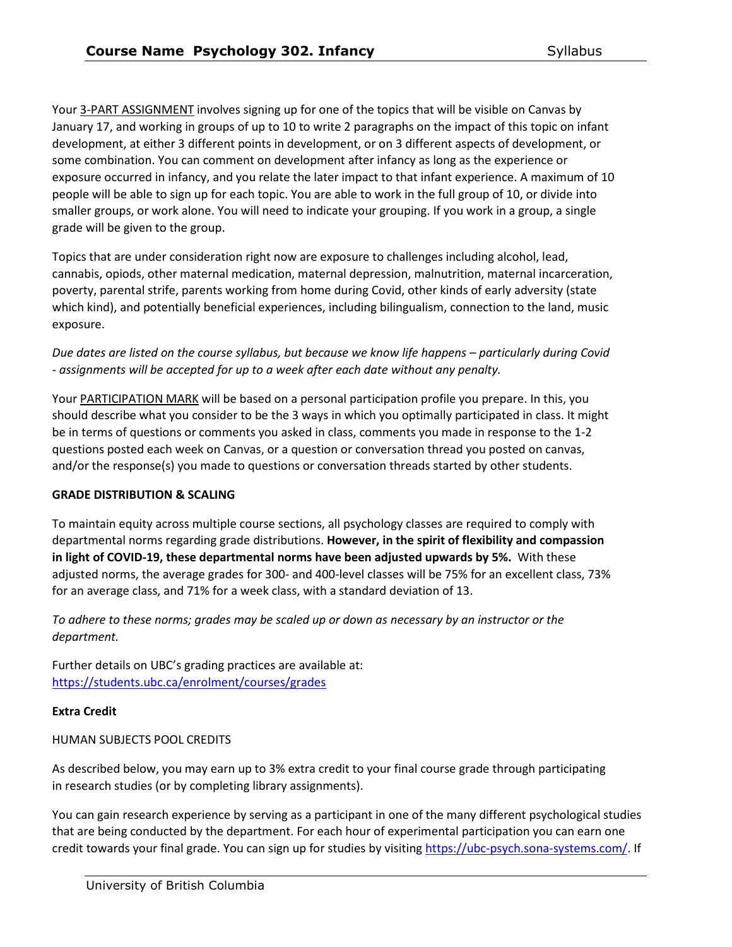Your 3-PART ASSIGNMENT involves signing up for one of the topics that will be visible on Canvas by January 17, and working in groups of up to 10 to write 2 paragraphs on the impact of this topic on infant development, at either 3 different points in development, or on 3 different aspects of development, or some combination. You can comment on development after infancy as long as the experience or exposure occurred in infancy, and you relate the later impact to that infant experience. A maximum of 10 people will be able to sign up for each topic. You are able to work in the full group of 10, or divide into smaller groups, or work alone. You will need to indicate your grouping. If you work in a group, a single grade will be given to the group.

Topics that are under consideration right now are exposure to challenges including alcohol, lead, cannabis, opiods, other maternal medication, maternal depression, malnutrition, maternal incarceration, poverty, parental strife, parents working from home during Covid, other kinds of early adversity (state which kind), and potentially beneficial experiences, including bilingualism, connection to the land, music exposure.

*Due dates are listed on the course syllabus, but because we know life happens – particularly during Covid - assignments will be accepted for up to a week after each date without any penalty.* 

Your PARTICIPATION MARK will be based on a personal participation profile you prepare. In this, you should describe what you consider to be the 3 ways in which you optimally participated in class. It might be in terms of questions or comments you asked in class, comments you made in response to the 1-2 questions posted each week on Canvas, or a question or conversation thread you posted on canvas, and/or the response(s) you made to questions or conversation threads started by other students.

### **GRADE DISTRIBUTION & SCALING**

To maintain equity across multiple course sections, all psychology classes are required to comply with departmental norms regarding grade distributions. **However, in the spirit of flexibility and compassion in light of COVID-19, these departmental norms have been adjusted upwards by 5%.** With these adjusted norms, the average grades for 300- and 400-level classes will be 75% for an excellent class, 73% for an average class, and 71% for a week class, with a standard deviation of 13.

*To adhere to these norms; grades may be scaled up or down as necessary by an instructor or the department.* 

Further details on UBC's grading practices are available at: <https://students.ubc.ca/enrolment/courses/grades>

### **Extra Credit**

### HUMAN SUBJECTS POOL CREDITS

As described below, you may earn up to 3% extra credit to your final course grade through participating in research studies (or by completing library assignments).

You can gain research experience by serving as a participant in one of the many different psychological studies that are being conducted by the department. For each hour of experimental participation you can earn one credit towards your final grade. You can sign up for studies by visiting [https://ubc-psych.sona-systems.com/.](https://ubc-psych.sona-systems.com/) If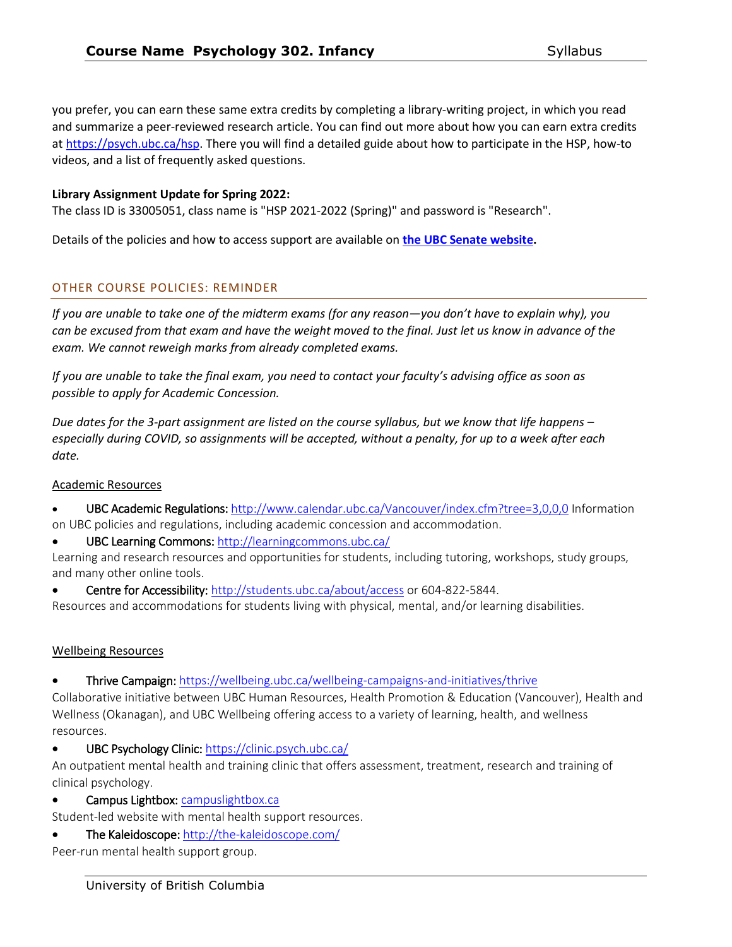you prefer, you can earn these same extra credits by completing a library-writing project, in which you read and summarize a peer-reviewed research article. You can find out more about how you can earn extra credits at [https://psych.ubc.ca/hsp.](https://psych.ubc.ca/hsp) There you will find a detailed guide about how to participate in the HSP, how-to videos, and a list of frequently asked questions.

### **Library Assignment Update for Spring 2022:**

The class ID is 33005051, class name is "HSP 2021-2022 (Spring)" and password is "Research".

Details of the policies and how to access support are available on **[the UBC Senate website.](https://senate.ubc.ca/policies-resources-support-student-success)**

#### OTHER COURSE POLICIES: REMINDER

*If you are unable to take one of the midterm exams (for any reason—you don't have to explain why), you can be excused from that exam and have the weight moved to the final. Just let us know in advance of the exam. We cannot reweigh marks from already completed exams.* 

*If you are unable to take the final exam, you need to contact your faculty's advising office as soon as possible to apply for Academic Concession.*

*Due dates for the 3-part assignment are listed on the course syllabus, but we know that life happens – especially during COVID, so assignments will be accepted, without a penalty, for up to a week after each date.* 

#### Academic Resources

- UBC Academic Regulations[: http://www.calendar.ubc.ca/Vancouver/index.cfm?tree=3,0,0,0](http://www.calendar.ubc.ca/Vancouver/index.cfm?tree=3,0,0,0) Information on UBC policies and regulations, including academic concession and accommodation.
- UBC Learning Commons: http://learningcommons.ubc.ca/

Learning and research resources and opportunities for students, including tutoring, workshops, study groups, and many other online tools.

Centre for Accessibility[: http://students.ubc.ca/about/access](http://students.ubc.ca/about/access) or 604-822-5844.

Resources and accommodations for students living with physical, mental, and/or learning disabilities.

#### Wellbeing Resources

• Thrive Campaign:<https://wellbeing.ubc.ca/wellbeing-campaigns-and-initiatives/thrive>

Collaborative initiative between UBC Human Resources, Health Promotion & Education (Vancouver), Health and Wellness (Okanagan), and UBC Wellbeing offering access to a variety of learning, health, and wellness resources.

• UBC Psychology Clinic:<https://clinic.psych.ubc.ca/>

An outpatient mental health and training clinic that offers assessment, treatment, research and training of clinical psychology.

• Campus Lightbox: campuslightbox.ca

Student-led website with mental health support resources.

• The Kaleidoscope: http://the-kaleidoscope.com/

Peer-run mental health support group.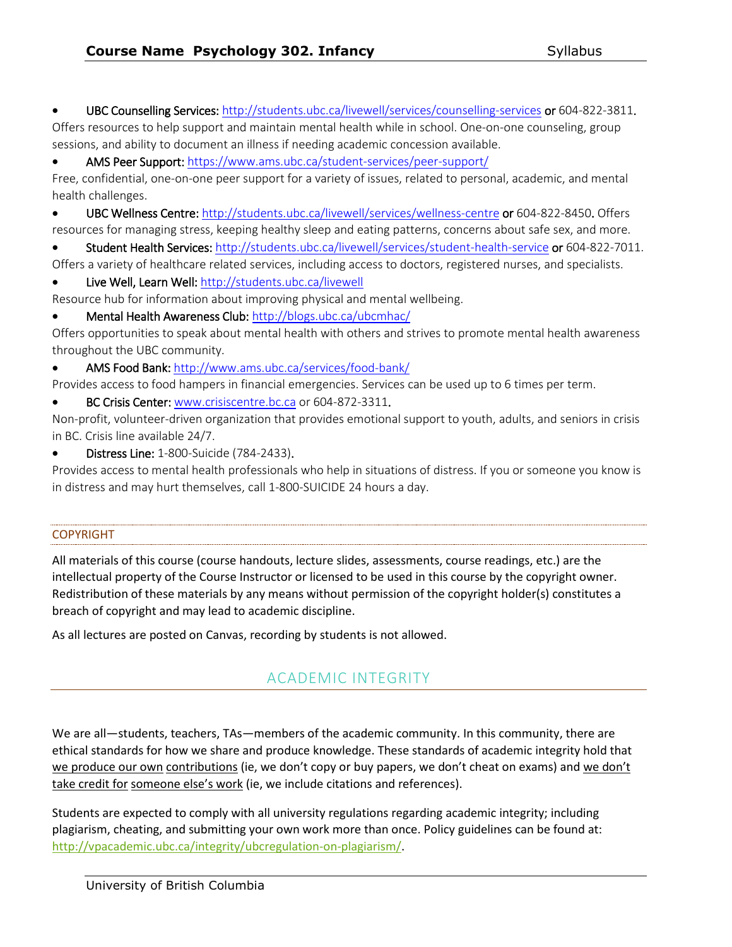• UBC Counselling Services[: http://students.ubc.ca/livewell/services/counselling-services o](http://students.ubc.ca/livewell/services/counselling-services)r 604-822-3811. Offers resources to help support and maintain mental health while in school. One-on-one counseling, group sessions, and ability to document an illness if needing academic concession available.

• AMS Peer Support[: https://www.ams.ubc.ca/student-services/peer-support/](https://www.ams.ubc.ca/student-services/peer-support/)

Free, confidential, one-on-one peer support for a variety of issues, related to personal, academic, and mental health challenges.

• UBC Wellness Centre:<http://students.ubc.ca/livewell/services/wellness-centre>or 604-822-8450. Offers resources for managing stress, keeping healthy sleep and eating patterns, concerns about safe sex, and more.

• Student Health Services:<http://students.ubc.ca/livewell/services/student-health-service>or 604-822-7011. Offers a variety of healthcare related services, including access to doctors, registered nurses, and specialists.

• Live Well, Learn Well[: http://students.ubc.ca/livewell](http://students.ubc.ca/livewell) 

Resource hub for information about improving physical and mental wellbeing.

• Mental Health Awareness Club:<http://blogs.ubc.ca/ubcmhac/>

Offers opportunities to speak about mental health with others and strives to promote mental health awareness throughout the UBC community.

• AMS Food Bank: http://www.ams.ubc.ca/services/food-bank/

Provides access to food hampers in financial emergencies. Services can be used up to 6 times per term.

• BC Crisis Center[: www.crisiscentre.bc.ca](http://www.crisiscentre.bc.caor/) or 604-872-3311.

Non-profit, volunteer-driven organization that provides emotional support to youth, adults, and seniors in crisis in BC. Crisis line available 24/7.

• Distress Line: 1-800-Suicide (784-2433).

Provides access to mental health professionals who help in situations of distress. If you or someone you know is in distress and may hurt themselves, call 1-800-SUICIDE 24 hours a day.

#### COPYRIGHT

All materials of this course (course handouts, lecture slides, assessments, course readings, etc.) are the intellectual property of the Course Instructor or licensed to be used in this course by the copyright owner. Redistribution of these materials by any means without permission of the copyright holder(s) constitutes a breach of copyright and may lead to academic discipline.

As all lectures are posted on Canvas, recording by students is not allowed.

# ACADEMIC INTEGRITY

We are all—students, teachers, TAs—members of the academic community. In this community, there are ethical standards for how we share and produce knowledge. These standards of academic integrity hold that we produce our own contributions (ie, we don't copy or buy papers, we don't cheat on exams) and we don't take credit for someone else's work (ie, we include citations and references).

Students are expected to comply with all university regulations regarding academic integrity; including plagiarism, cheating, and submitting your own work more than once. Policy guidelines can be found at[:](http://vpacademic.ubc.ca/integrity/ubc-regulation-on-plagiarism/) [http://vpacademic.ubc.ca/integrity/ubcregulation-on-plagiarism/.](http://vpacademic.ubc.ca/integrity/ubc-regulation-on-plagiarism/)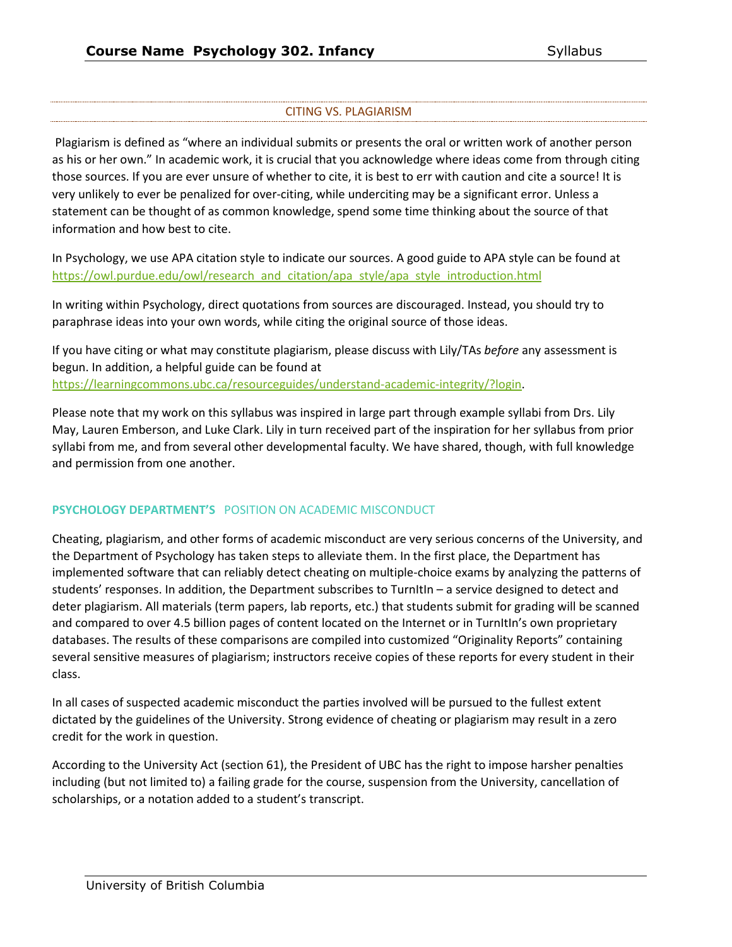# CITING VS. PLAGIARISM

Plagiarism is defined as "where an individual submits or presents the oral or written work of another person as his or her own." In academic work, it is crucial that you acknowledge where ideas come from through citing those sources. If you are ever unsure of whether to cite, it is best to err with caution and cite a source! It is very unlikely to ever be penalized for over-citing, while underciting may be a significant error. Unless a statement can be thought of as common knowledge, spend some time thinking about the source of that information and how best to cite.

In Psychology, we use APA citation style to indicate our sources. A good guide to APA style can be found at [https://owl.purdue.edu/owl/research\\_and\\_citation/apa\\_style/apa\\_style\\_introduction.html](https://owl.purdue.edu/owl/research_and_citation/apa_style/apa_style_introduction.html)

In writing within Psychology, direct quotations from sources are discouraged. Instead, you should try to paraphrase ideas into your own words, while citing the original source of those ideas.

If you have citing or what may constitute plagiarism, please discuss with Lily/TAs *before* any assessment is begun. In addition, a helpful guide can be found at [https://learningcommons.ubc.ca/resourceguides/understand-academic-integrity/?login.](https://learningcommons.ubc.ca/resource-guides/understand-academic-integrity/?login)

Please note that my work on this syllabus was inspired in large part through example syllabi from Drs. Lily May, Lauren Emberson, and Luke Clark. Lily in turn received part of the inspiration for her syllabus from prior syllabi from me, and from several other developmental faculty. We have shared, though, with full knowledge and permission from one another.

# **PSYCHOLOGY DEPARTMENT'S** POSITION ON ACADEMIC MISCONDUCT

Cheating, plagiarism, and other forms of academic misconduct are very serious concerns of the University, and the Department of Psychology has taken steps to alleviate them. In the first place, the Department has implemented software that can reliably detect cheating on multiple-choice exams by analyzing the patterns of students' responses. In addition, the Department subscribes to TurnItIn – a service designed to detect and deter plagiarism. All materials (term papers, lab reports, etc.) that students submit for grading will be scanned and compared to over 4.5 billion pages of content located on the Internet or in TurnItIn's own proprietary databases. The results of these comparisons are compiled into customized "Originality Reports" containing several sensitive measures of plagiarism; instructors receive copies of these reports for every student in their class.

In all cases of suspected academic misconduct the parties involved will be pursued to the fullest extent dictated by the guidelines of the University. Strong evidence of cheating or plagiarism may result in a zero credit for the work in question.

According to the University Act (section 61), the President of UBC has the right to impose harsher penalties including (but not limited to) a failing grade for the course, suspension from the University, cancellation of scholarships, or a notation added to a student's transcript.